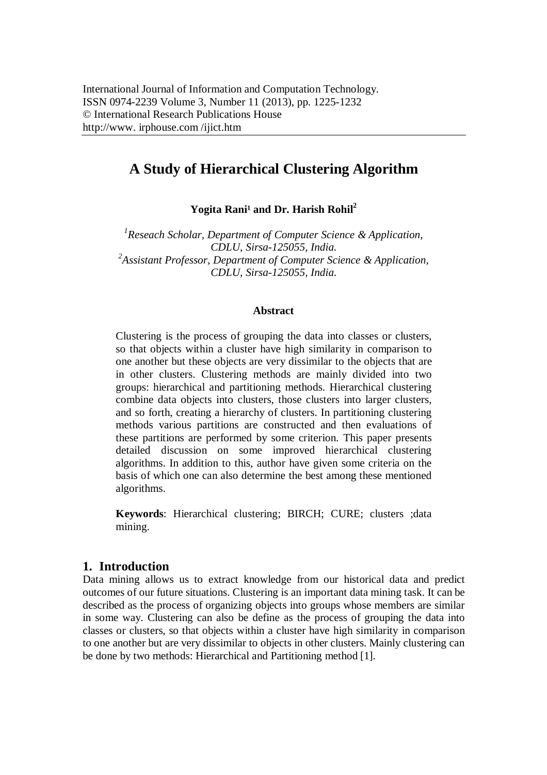# **A Study of Hierarchical Clustering Algorithm**

Yogita Rani<sup>1</sup> and Dr. Harish Rohil<sup>2</sup>

*1 Reseach Scholar, Department of Computer Science & Application, CDLU, Sirsa-125055, India. 2 Assistant Professor, Department of Computer Science & Application, CDLU, Sirsa-125055, India.*

#### **Abstract**

Clustering is the process of grouping the data into classes or clusters, so that objects within a cluster have high similarity in comparison to one another but these objects are very dissimilar to the objects that are in other clusters. Clustering methods are mainly divided into two groups: hierarchical and partitioning methods. Hierarchical clustering combine data objects into clusters, those clusters into larger clusters, and so forth, creating a hierarchy of clusters. In partitioning clustering methods various partitions are constructed and then evaluations of these partitions are performed by some criterion. This paper presents detailed discussion on some improved hierarchical clustering algorithms. In addition to this, author have given some criteria on the basis of which one can also determine the best among these mentioned algorithms.

**Keywords**: Hierarchical clustering; BIRCH; CURE; clusters ;data mining.

# **1. Introduction**

Data mining allows us to extract knowledge from our historical data and predict outcomes of our future situations. Clustering is an important data mining task. It can be described as the process of organizing objects into groups whose members are similar in some way. Clustering can also be define as the process of grouping the data into classes or clusters, so that objects within a cluster have high similarity in comparison to one another but are very dissimilar to objects in other clusters. Mainly clustering can be done by two methods: Hierarchical and Partitioning method [1].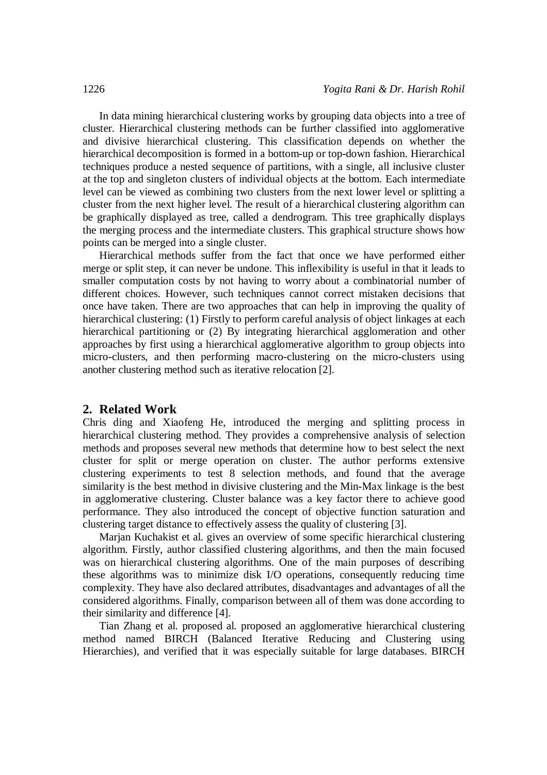In data mining hierarchical clustering works by grouping data objects into a tree of cluster. Hierarchical clustering methods can be further classified into agglomerative and divisive hierarchical clustering. This classification depends on whether the hierarchical decomposition is formed in a bottom-up or top-down fashion. Hierarchical techniques produce a nested sequence of partitions, with a single, all inclusive cluster at the top and singleton clusters of individual objects at the bottom. Each intermediate level can be viewed as combining two clusters from the next lower level or splitting a cluster from the next higher level. The result of a hierarchical clustering algorithm can be graphically displayed as tree, called a dendrogram. This tree graphically displays the merging process and the intermediate clusters. This graphical structure shows how points can be merged into a single cluster.

Hierarchical methods suffer from the fact that once we have performed either merge or split step, it can never be undone. This inflexibility is useful in that it leads to smaller computation costs by not having to worry about a combinatorial number of different choices. However, such techniques cannot correct mistaken decisions that once have taken. There are two approaches that can help in improving the quality of hierarchical clustering: (1) Firstly to perform careful analysis of object linkages at each hierarchical partitioning or (2) By integrating hierarchical agglomeration and other approaches by first using a hierarchical agglomerative algorithm to group objects into micro-clusters, and then performing macro-clustering on the micro-clusters using another clustering method such as iterative relocation [2].

#### **2. Related Work**

Chris ding and Xiaofeng He, introduced the merging and splitting process in hierarchical clustering method. They provides a comprehensive analysis of selection methods and proposes several new methods that determine how to best select the next cluster for split or merge operation on cluster. The author performs extensive clustering experiments to test 8 selection methods, and found that the average similarity is the best method in divisive clustering and the Min-Max linkage is the best in agglomerative clustering. Cluster balance was a key factor there to achieve good performance. They also introduced the concept of objective function saturation and clustering target distance to effectively assess the quality of clustering [3].

Marjan Kuchakist et al. gives an overview of some specific hierarchical clustering algorithm. Firstly, author classified clustering algorithms, and then the main focused was on hierarchical clustering algorithms. One of the main purposes of describing these algorithms was to minimize disk I/O operations, consequently reducing time complexity. They have also declared attributes, disadvantages and advantages of all the considered algorithms. Finally, comparison between all of them was done according to their similarity and difference [4].

Tian Zhang et al. proposed al. proposed an agglomerative hierarchical clustering method named BIRCH (Balanced Iterative Reducing and Clustering using Hierarchies), and verified that it was especially suitable for large databases. BIRCH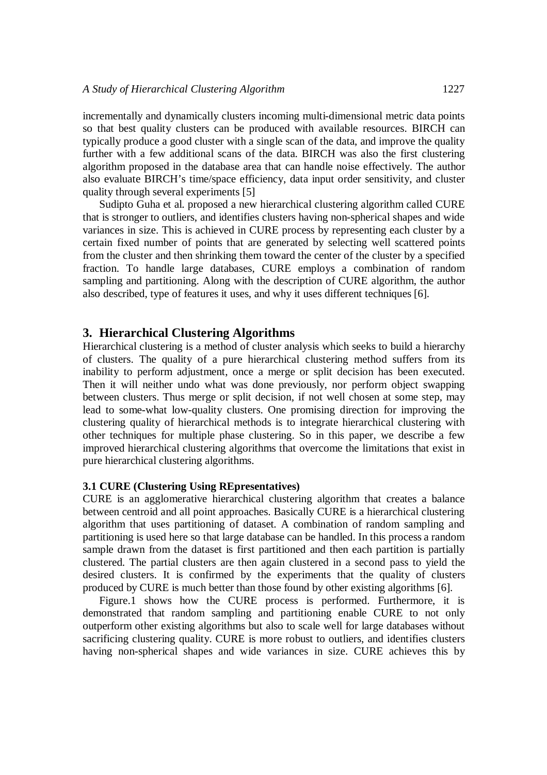incrementally and dynamically clusters incoming multi-dimensional metric data points so that best quality clusters can be produced with available resources. BIRCH can typically produce a good cluster with a single scan of the data, and improve the quality further with a few additional scans of the data. BIRCH was also the first clustering algorithm proposed in the database area that can handle noise effectively. The author also evaluate BIRCH's time/space efficiency, data input order sensitivity, and cluster quality through several experiments [5]

Sudipto Guha et al. proposed a new hierarchical clustering algorithm called CURE that is stronger to outliers, and identifies clusters having non-spherical shapes and wide variances in size. This is achieved in CURE process by representing each cluster by a certain fixed number of points that are generated by selecting well scattered points from the cluster and then shrinking them toward the center of the cluster by a specified fraction. To handle large databases, CURE employs a combination of random sampling and partitioning. Along with the description of CURE algorithm, the author also described, type of features it uses, and why it uses different techniques [6].

## **3. Hierarchical Clustering Algorithms**

Hierarchical clustering is a method of cluster analysis which seeks to build a hierarchy of clusters. The quality of a pure hierarchical clustering method suffers from its inability to perform adjustment, once a merge or split decision has been executed. Then it will neither undo what was done previously, nor perform object swapping between clusters. Thus merge or split decision, if not well chosen at some step, may lead to some-what low-quality clusters. One promising direction for improving the clustering quality of hierarchical methods is to integrate hierarchical clustering with other techniques for multiple phase clustering. So in this paper, we describe a few improved hierarchical clustering algorithms that overcome the limitations that exist in pure hierarchical clustering algorithms.

### **3.1 CURE (Clustering Using REpresentatives)**

CURE is an agglomerative hierarchical clustering algorithm that creates a balance between centroid and all point approaches. Basically CURE is a hierarchical clustering algorithm that uses partitioning of dataset. A combination of random sampling and partitioning is used here so that large database can be handled. In this process a random sample drawn from the dataset is first partitioned and then each partition is partially clustered. The partial clusters are then again clustered in a second pass to yield the desired clusters. It is confirmed by the experiments that the quality of clusters produced by CURE is much better than those found by other existing algorithms [6].

Figure.1 shows how the CURE process is performed. Furthermore, it is demonstrated that random sampling and partitioning enable CURE to not only outperform other existing algorithms but also to scale well for large databases without sacrificing clustering quality. CURE is more robust to outliers, and identifies clusters having non-spherical shapes and wide variances in size. CURE achieves this by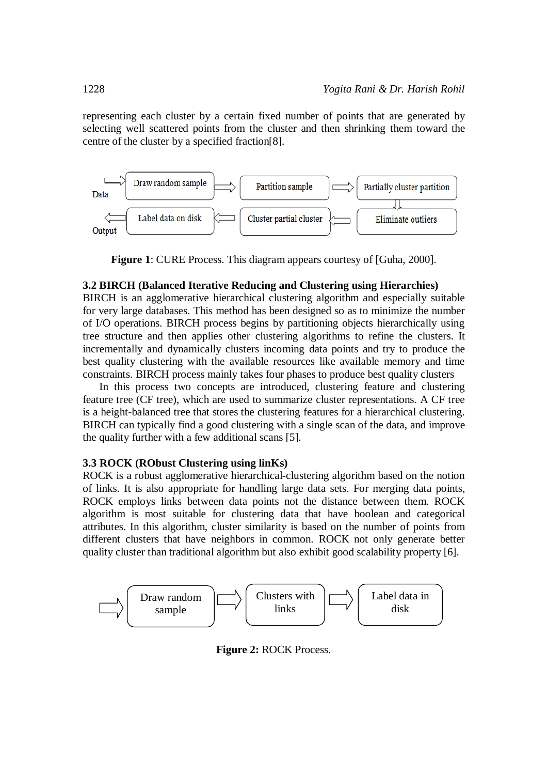representing each cluster by a certain fixed number of points that are generated by selecting well scattered points from the cluster and then shrinking them toward the centre of the cluster by a specified fraction[8].



**Figure 1**: CURE Process. This diagram appears courtesy of [Guha, 2000].

#### **3.2 BIRCH (Balanced Iterative Reducing and Clustering using Hierarchies)**

BIRCH is an agglomerative hierarchical clustering algorithm and especially suitable for very large databases. This method has been designed so as to minimize the number of I/O operations. BIRCH process begins by partitioning objects hierarchically using tree structure and then applies other clustering algorithms to refine the clusters. It incrementally and dynamically clusters incoming data points and try to produce the best quality clustering with the available resources like available memory and time constraints. BIRCH process mainly takes four phases to produce best quality clusters

In this process two concepts are introduced, clustering feature and clustering feature tree (CF tree), which are used to summarize cluster representations. A CF tree is a height-balanced tree that stores the clustering features for a hierarchical clustering. BIRCH can typically find a good clustering with a single scan of the data, and improve the quality further with a few additional scans [5].

#### **3.3 ROCK (RObust Clustering using linKs)**

ROCK is a robust agglomerative hierarchical-clustering algorithm based on the notion of links. It is also appropriate for handling large data sets. For merging data points, ROCK employs links between data points not the distance between them. ROCK algorithm is most suitable for clustering data that have boolean and categorical attributes. In this algorithm, cluster similarity is based on the number of points from different clusters that have neighbors in common. ROCK not only generate better quality cluster than traditional algorithm but also exhibit good scalability property [6].



**Figure 2:** ROCK Process.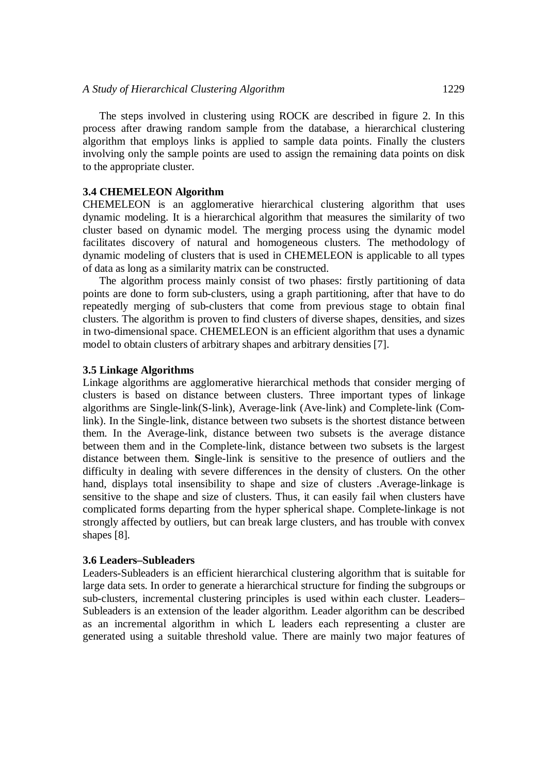The steps involved in clustering using ROCK are described in figure 2. In this process after drawing random sample from the database, a hierarchical clustering algorithm that employs links is applied to sample data points. Finally the clusters involving only the sample points are used to assign the remaining data points on disk to the appropriate cluster.

#### **3.4 CHEMELEON Algorithm**

CHEMELEON is an agglomerative hierarchical clustering algorithm that uses dynamic modeling. It is a hierarchical algorithm that measures the similarity of two cluster based on dynamic model. The merging process using the dynamic model facilitates discovery of natural and homogeneous clusters. The methodology of dynamic modeling of clusters that is used in CHEMELEON is applicable to all types of data as long as a similarity matrix can be constructed.

The algorithm process mainly consist of two phases: firstly partitioning of data points are done to form sub-clusters, using a graph partitioning, after that have to do repeatedly merging of sub-clusters that come from previous stage to obtain final clusters. The algorithm is proven to find clusters of diverse shapes, densities, and sizes in two-dimensional space. CHEMELEON is an efficient algorithm that uses a dynamic model to obtain clusters of arbitrary shapes and arbitrary densities [7].

#### **3.5 Linkage Algorithms**

Linkage algorithms are agglomerative hierarchical methods that consider merging of clusters is based on distance between clusters. Three important types of linkage algorithms are Single-link(S-link), Average-link (Ave-link) and Complete-link (Comlink). In the Single-link, distance between two subsets is the shortest distance between them. In the Average-link, distance between two subsets is the average distance between them and in the Complete-link, distance between two subsets is the largest distance between them. **S**ingle-link is sensitive to the presence of outliers and the difficulty in dealing with severe differences in the density of clusters. On the other hand, displays total insensibility to shape and size of clusters .Average-linkage is sensitive to the shape and size of clusters. Thus, it can easily fail when clusters have complicated forms departing from the hyper spherical shape. Complete-linkage is not strongly affected by outliers, but can break large clusters, and has trouble with convex shapes [8].

#### **3.6 Leaders–Subleaders**

Leaders-Subleaders is an efficient hierarchical clustering algorithm that is suitable for large data sets. In order to generate a hierarchical structure for finding the subgroups or sub-clusters, incremental clustering principles is used within each cluster. Leaders– Subleaders is an extension of the leader algorithm. Leader algorithm can be described as an incremental algorithm in which L leaders each representing a cluster are generated using a suitable threshold value. There are mainly two major features of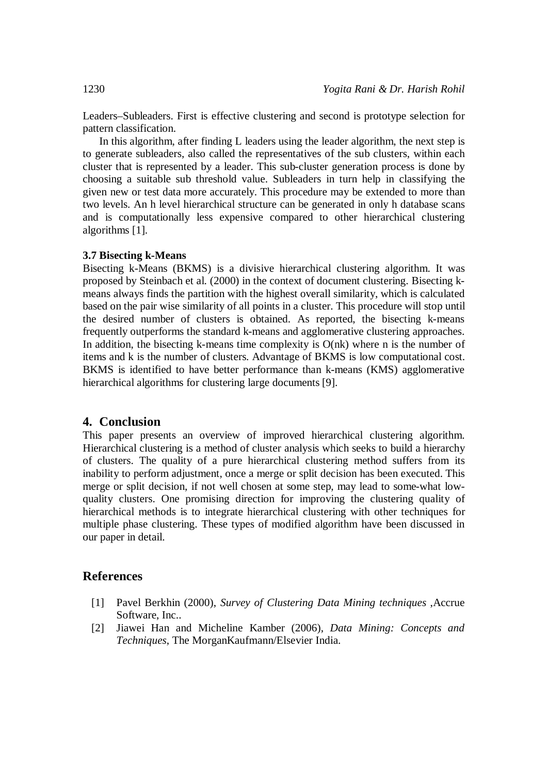Leaders–Subleaders. First is effective clustering and second is prototype selection for pattern classification.

In this algorithm, after finding L leaders using the leader algorithm, the next step is to generate subleaders, also called the representatives of the sub clusters, within each cluster that is represented by a leader. This sub-cluster generation process is done by choosing a suitable sub threshold value. Subleaders in turn help in classifying the given new or test data more accurately. This procedure may be extended to more than two levels. An h level hierarchical structure can be generated in only h database scans and is computationally less expensive compared to other hierarchical clustering algorithms [1].

#### **3.7 Bisecting k-Means**

Bisecting k-Means (BKMS) is a divisive hierarchical clustering algorithm. It was proposed by Steinbach et al. (2000) in the context of document clustering. Bisecting kmeans always finds the partition with the highest overall similarity, which is calculated based on the pair wise similarity of all points in a cluster. This procedure will stop until the desired number of clusters is obtained. As reported, the bisecting k-means frequently outperforms the standard k-means and agglomerative clustering approaches. In addition, the bisecting k-means time complexity is  $O(nk)$  where n is the number of items and k is the number of clusters. Advantage of BKMS is low computational cost. BKMS is identified to have better performance than k-means (KMS) agglomerative hierarchical algorithms for clustering large documents [9].

# **4. Conclusion**

This paper presents an overview of improved hierarchical clustering algorithm. Hierarchical clustering is a method of cluster analysis which seeks to build a hierarchy of clusters. The quality of a pure hierarchical clustering method suffers from its inability to perform adjustment, once a merge or split decision has been executed. This merge or split decision, if not well chosen at some step, may lead to some-what lowquality clusters. One promising direction for improving the clustering quality of hierarchical methods is to integrate hierarchical clustering with other techniques for multiple phase clustering. These types of modified algorithm have been discussed in our paper in detail.

# **References**

- [1] Pavel Berkhin (2000), *Survey of Clustering Data Mining techniques* ,Accrue Software, Inc..
- [2] Jiawei Han and Micheline Kamber (2006), *Data Mining: Concepts and Techniques*, The MorganKaufmann/Elsevier India.